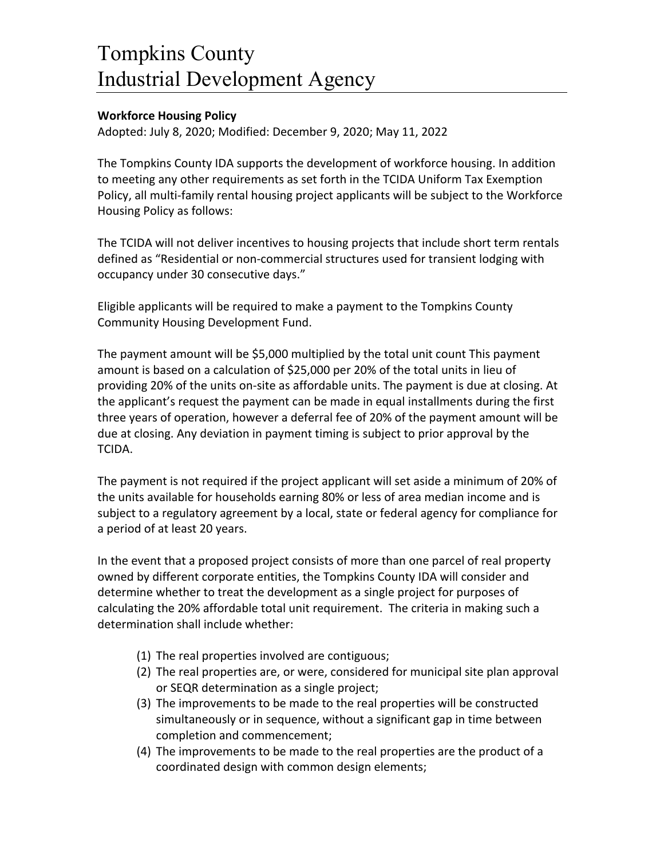## Tompkins County Industrial Development Agency

## **Workforce Housing Policy**

Adopted: July 8, 2020; Modified: December 9, 2020; May 11, 2022

The Tompkins County IDA supports the development of workforce housing. In addition to meeting any other requirements as set forth in the TCIDA Uniform Tax Exemption Policy, all multi-family rental housing project applicants will be subject to the Workforce Housing Policy as follows:

The TCIDA will not deliver incentives to housing projects that include short term rentals defined as "Residential or non-commercial structures used for transient lodging with occupancy under 30 consecutive days."

Eligible applicants will be required to make a payment to the Tompkins County Community Housing Development Fund.

The payment amount will be \$5,000 multiplied by the total unit count This payment amount is based on a calculation of \$25,000 per 20% of the total units in lieu of providing 20% of the units on-site as affordable units. The payment is due at closing. At the applicant's request the payment can be made in equal installments during the first three years of operation, however a deferral fee of 20% of the payment amount will be due at closing. Any deviation in payment timing is subject to prior approval by the TCIDA.

The payment is not required if the project applicant will set aside a minimum of 20% of the units available for households earning 80% or less of area median income and is subject to a regulatory agreement by a local, state or federal agency for compliance for a period of at least 20 years.

In the event that a proposed project consists of more than one parcel of real property owned by different corporate entities, the Tompkins County IDA will consider and determine whether to treat the development as a single project for purposes of calculating the 20% affordable total unit requirement. The criteria in making such a determination shall include whether:

- (1) The real properties involved are contiguous;
- (2) The real properties are, or were, considered for municipal site plan approval or SEQR determination as a single project;
- (3) The improvements to be made to the real properties will be constructed simultaneously or in sequence, without a significant gap in time between completion and commencement;
- (4) The improvements to be made to the real properties are the product of a coordinated design with common design elements;